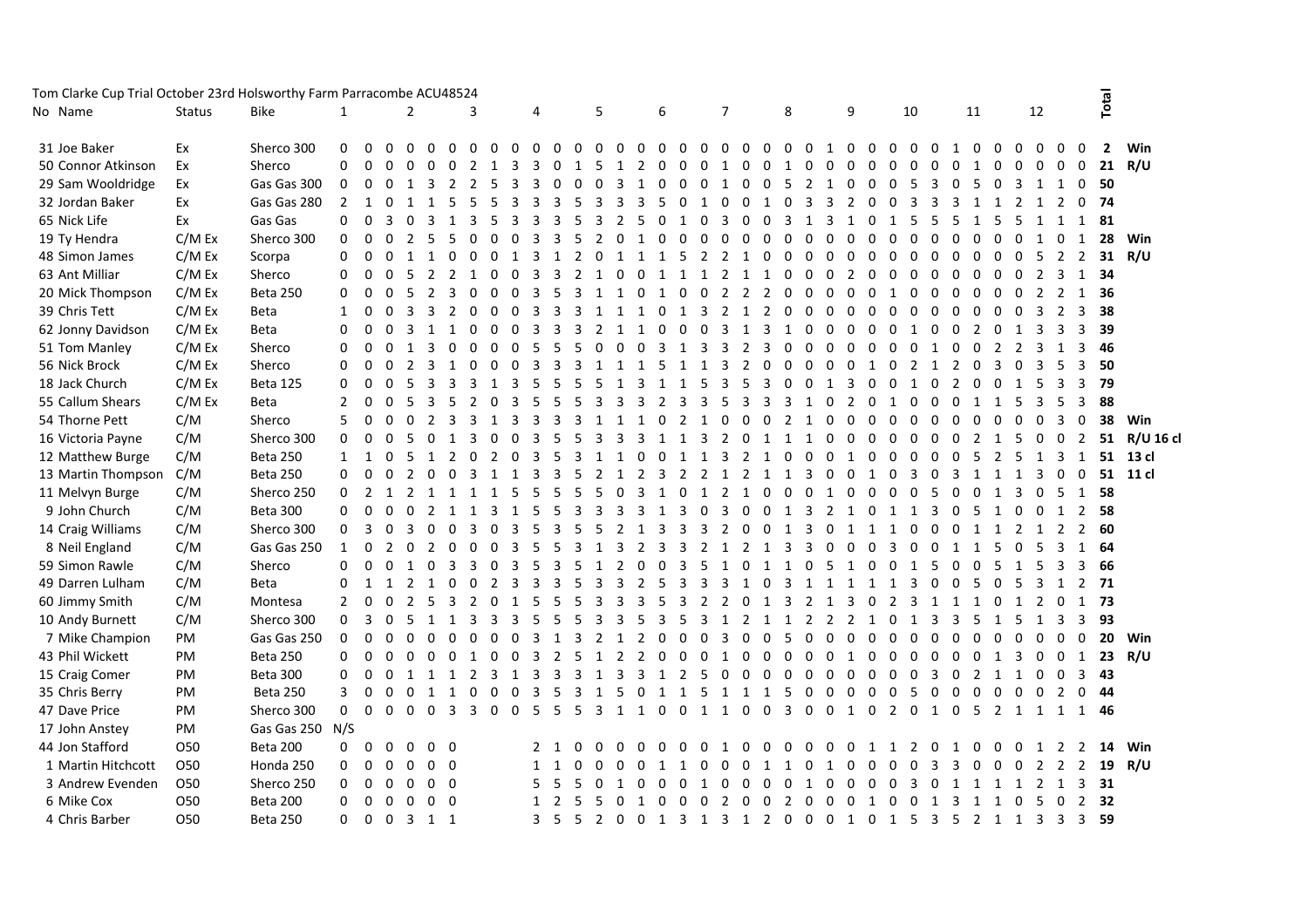| Tom Clarke Cup Trial October 23rd Holsworthy Farm Parracombe ACU48524 |                 |                 |                |                |                   |                |                |                |                         |                      |                         |                         |              |                |                |                         |                         |                |                |                         |                |                  |                            |                |                   |                   |                |                |                     |                |                |             |                                                   |                         |                |                |                            |
|-----------------------------------------------------------------------|-----------------|-----------------|----------------|----------------|-------------------|----------------|----------------|----------------|-------------------------|----------------------|-------------------------|-------------------------|--------------|----------------|----------------|-------------------------|-------------------------|----------------|----------------|-------------------------|----------------|------------------|----------------------------|----------------|-------------------|-------------------|----------------|----------------|---------------------|----------------|----------------|-------------|---------------------------------------------------|-------------------------|----------------|----------------|----------------------------|
| No Name                                                               | <b>Status</b>   | Bike            | 1              |                |                   | $\overline{2}$ |                |                | 3                       |                      | 4                       |                         |              | 5              |                |                         | 6                       |                |                | 7                       |                |                  | 8                          |                | 9                 |                   |                | 10             |                     |                | 11             |             | 12                                                |                         |                | Total          |                            |
| 31 Joe Baker                                                          | Ex              | Sherco 300      | $\Omega$       | $\Omega$       | $\Omega$          | $\Omega$       | $\Omega$       | $\Omega$       | $\Omega$                | $\Omega$<br>$\Omega$ | $\Omega$                | $\Omega$                | $\Omega$     | $\Omega$       | $\Omega$       | $\Omega$                | $\Omega$                | $\mathbf{0}$   | $0\quad 0$     |                         | $\Omega$       | $0\quad 0$       | $\Omega$                   | $\mathbf{1}$   | $\Omega$          | $\Omega$          | $\Omega$       | $\Omega$       | $\Omega$            | $\overline{1}$ | $\Omega$       | $\Omega$    | $\Omega$<br>$\Omega$                              | $\Omega$                | $\Omega$       | $\overline{2}$ | Win                        |
| 50 Connor Atkinson                                                    | Ex              | Sherco          | 0              | $\mathbf 0$    | $\Omega$          | $\Omega$       | $\mathbf 0$    | $\Omega$       | 2                       | 3<br>-1              | 3                       | $\Omega$                | $\mathbf{1}$ | .5             | $\mathbf{1}$   | 2                       | $\Omega$                | $\Omega$       | $\Omega$       | 1                       | $\Omega$       | $\overline{0}$   | $\Omega$<br>1              | $\mathbf 0$    | $\Omega$          | $\Omega$          | $\Omega$       | $\Omega$       | $\Omega$            | $\mathbf 0$    | $\mathbf{1}$   | $\Omega$    | $\Omega$<br>$\Omega$                              | $\Omega$                | $\overline{0}$ |                | 21 $R/U$                   |
| 29 Sam Wooldridge                                                     | Ex              | Gas Gas 300     | $\mathbf 0$    | $\mathbf{0}$   | $\mathbf 0$       | $\mathbf{1}$   | -3             | $\overline{2}$ | 2                       | -5<br>3              | 3                       | $\Omega$                | 0            | $\Omega$       | 3              | 1                       | $\Omega$                | $\Omega$       | $\Omega$       | 1                       | $\Omega$       | $\mathbf 0$      | -5<br>2                    | $\overline{1}$ | $\mathbf 0$       | $\Omega$          | $\Omega$       | 5              | 3                   | 0              | 5              | $\mathbf 0$ | 3<br>1                                            | 1                       | $\Omega$       | -50            |                            |
| 32 Jordan Baker                                                       | Ex              | Gas Gas 280     | $\overline{2}$ | $\mathbf{1}$   | $\mathbf 0$       | 1              | $\mathbf{1}$   | 5              | 5                       | 3<br>5               | 3                       | 3                       | 5            | 3              | 3              | 3                       | 5                       | $\Omega$       |                | $\Omega$                | $\Omega$       | 1                | 3<br>$\Omega$              | 3              | 2                 | $\Omega$          | 0              | 3              | 3                   | 3              |                | 1           | $\overline{2}$<br>1                               | 2                       |                | 0, 74          |                            |
| 65 Nick Life                                                          | Ex              | Gas Gas         | 0              | $\mathbf 0$    | 3                 | $\Omega$       | - 3            | 1              | 3                       | 3<br>-5              | 3                       | 3                       | 5            | 3              | 2              | .5                      | $\Omega$                | $\mathbf{1}$   | $\Omega$       | 3                       | $\Omega$       | $\Omega$         | 3<br>$\overline{1}$        | 3              | $\mathbf{1}$      | <sup>n</sup>      | $\mathbf{1}$   | 5              | 5                   | -5             | 1              | -5          | - 5                                               | 1 1                     |                | 1 81           |                            |
| 19 Ty Hendra                                                          | C/M Ex          | Sherco 300      | $\Omega$       | $\overline{0}$ | $\Omega$          | 2 5            |                | -5             | $\Omega$                | $\Omega$<br>$\Omega$ | 3                       | $\overline{\mathbf{3}}$ | -5           | $\overline{2}$ | $\Omega$       | $\overline{1}$          | 0                       | $\Omega$       | $\Omega$       | -0                      | $\Omega$       | $\Omega$         | $\Omega$<br>$\Omega$       | $\Omega$       | $\Omega$          |                   | $\Omega$       | $\Omega$       | $\Omega$            | $\Omega$       | $\Omega$       | $\Omega$    | $\overline{0}$<br>1                               | $\overline{0}$          | 1              | 28             | Win                        |
| 48 Simon James                                                        | C/M Ex          | Scorpa          | $\mathbf 0$    | $\mathbf 0$    |                   |                |                |                |                         |                      |                         |                         |              | $\Omega$       |                |                         |                         | 5              | 2              |                         |                | $\Omega$         | $\Omega$<br>$\Omega$       | $\Omega$       | $\Omega$          |                   | $\Omega$       | $\Omega$       | $\Omega$            | $\Omega$       | $\Omega$       | $\Omega$    | $\Omega$<br>5                                     | 2                       | 2              | 31             | R/U                        |
| 63 Ant Milliar                                                        | C/M Ex          | Sherco          | 0              | $\mathbf 0$    |                   |                |                |                |                         | $\Omega$             | 3                       | 3                       |              |                | $\Omega$       |                         | $\overline{1}$          | $\mathbf{1}$   | $\mathbf{1}$   |                         | $\mathbf{1}$   | $\mathbf{1}$     | $\Omega$<br>$\Omega$       | $\Omega$       | 2                 | $\Omega$          | 0              | $\Omega$       | $\Omega$            | $\Omega$       | $\Omega$       | $\Omega$    | $\overline{0}$<br>2                               | 3                       | 1              | 34             |                            |
| 20 Mick Thompson                                                      | C/M Ex          | Beta 250        | $\Omega$       | $\Omega$       | $\Omega$          | -5             | -2             | 3              | $\Omega$                | $\Omega$<br>$\Omega$ | 3                       | -5                      | 3            | 1              | 1              | $\mathbf 0$             | 1                       | $\Omega$       | $\Omega$       | 2                       | $\overline{2}$ | 2                | $\Omega$<br>$\Omega$       | $\Omega$       | $\Omega$          | $\Omega$          | 1              | $\Omega$       | $\Omega$            | $\Omega$       | $\Omega$       | $\Omega$    | $\overline{0}$<br>2                               | $\overline{2}$          |                | 1 36           |                            |
| 39 Chris Tett                                                         | C/M Ex          | Beta            | $\mathbf{1}$   | 0              | $\Omega$          | 3              | 3              | $\overline{2}$ | $\Omega$                | $\Omega$<br>$\Omega$ | 3                       | 3                       | 3            | 1              | 1              | 1                       | $\Omega$                | 1              | $\overline{3}$ | 2                       | 1              | $\overline{2}$   | $\mathbf{0}$<br>$\Omega$   | $\Omega$       | $\Omega$          | $\Omega$          | $\Omega$       | $\Omega$       | $\mathbf{0}$        | $\Omega$       | $\Omega$       | $\mathbf 0$ | $\Omega$<br>3                                     | $\overline{2}$          | 3              | 38             |                            |
| 62 Jonny Davidson                                                     | C/M Ex          | Beta            | 0              | 0              | 0                 | 3              | $\overline{1}$ | 1              | $\mathbf 0$<br>$\Omega$ | $\mathbf 0$          | $\overline{\mathbf{3}}$ | 3                       | 3            | $\overline{2}$ | $\overline{1}$ | $\mathbf{1}$            | $\Omega$                | $\mathbf{0}$   | 0 <sub>3</sub> |                         | 1              | $\overline{3}$   | $\overline{1}$<br>$\Omega$ | $\Omega$       | $\Omega$          | $\Omega$          | $\mathbf{0}$   | 1              | $\Omega$            | $\overline{0}$ | 2 0 1          |             | $\overline{\mathbf{3}}$                           | $\overline{\mathbf{3}}$ | 3              | 39             |                            |
| 51 Tom Manley                                                         | C/M Ex          | Sherco          | $\Omega$       | $\Omega$       | $\Omega$          | 1              | -3             | $\Omega$       | $\Omega$                | $\Omega$<br>$\Omega$ | -5                      | -5                      | -5           | $\Omega$       | $\Omega$       | $\overline{0}$          | 3                       | 1 3            |                | 3                       | $\overline{2}$ | 3                | $\Omega$<br>$\Omega$       | $\Omega$       | $\Omega$          | $\Omega$          | $\Omega$       | $\Omega$       | 1                   | $\Omega$       | $\Omega$       | 2           | $\overline{2}$<br>3                               | 1                       | $\overline{3}$ | 46             |                            |
| 56 Nick Brock                                                         | C/M Ex          | Sherco          | 0              | $\mathbf 0$    | $\Omega$          | 2              |                |                |                         | $\Omega$             | 3                       |                         |              |                |                |                         | 5                       | $\mathbf{1}$   |                | 3                       | $\overline{2}$ | $\Omega$         | $\Omega$<br>$\Omega$       | $\Omega$       | $\mathbf{0}$      | $\mathbf{1}$      | $\Omega$       | 2              | 1                   | 2              | $\mathbf 0$    | 3           | $\overline{0}$                                    |                         |                | 50             |                            |
| 18 Jack Church                                                        | C/M Ex          | Beta 125        | 0              | $\mathbf 0$    | $\mathbf 0$       | -5             | -3             |                | 3                       | 3                    | 5                       |                         | -5           | .5             | $\mathbf{1}$   |                         | $\mathbf{1}$            | $\mathbf{1}$   | 5              | 3                       | 5              | 3                | $\Omega$<br>$\Omega$       | 1              | 3                 | $\Omega$          | $\mathbf{0}$   | 1              | $\mathbf 0$         | $\overline{2}$ | $\mathbf 0$    | $\mathbf 0$ | 1<br>5                                            | $\overline{\mathbf{3}}$ | 3              | - 79           |                            |
| 55 Callum Shears                                                      | C/M Ex          | Beta            | $\overline{2}$ | $\Omega$       | $\Omega$          | -5             | 3              | 5              | 2                       | 3<br>$\Omega$        | 5                       | 5                       | -5           | 3              | 3              | 3                       | 2                       | 3              | 3              | -5                      | 3              | 3                | 3<br>-1                    | $\Omega$       | 2                 | $\Omega$          | 1              | $\Omega$       | $\Omega$            | $\Omega$       | 1              | 1           | - 5<br>3                                          | -5                      | 3              | 88             |                            |
| 54 Thorne Pett                                                        | C/M             | Sherco          | 5              | $\mathbf 0$    | $\mathbf 0$       | $\Omega$       | 2              | 3              | 3<br>1                  | 3                    | 3                       | 3                       | 3            | 1              | 1              | 1                       | $\mathbf 0$             | $\overline{2}$ | 1              | $\Omega$                | $\mathbf 0$    | $\mathbf 0$      | 2<br>$\overline{1}$        | $\Omega$       | $\mathbf{0}$      | $\Omega$          | $\Omega$       | $\Omega$       | $\Omega$            | $\Omega$       | $\Omega$       | $\mathbf 0$ | $\Omega$<br>$\mathbf 0$                           | 3                       | $\Omega$       | 38             | Win                        |
| 16 Victoria Payne                                                     | C/M             | Sherco 300      | $\mathbf 0$    | 0              | 0                 | -5             | $\overline{0}$ | 1              | 3<br>$\overline{0}$     | $\Omega$             | 3                       | -5                      | -5           | 3              | 3              | 3                       | 1                       | $\mathbf{1}$   | $\mathbf{3}$   | $\overline{2}$          |                | $0$ 1 1          | $\overline{1}$             | $\Omega$       | $\Omega$          | $\Omega$          | $\Omega$       | $\Omega$       | $\Omega$            | $\mathbf 0$    | $\overline{2}$ | 1           | 5<br>$\mathbf 0$                                  |                         | 0 <sub>2</sub> |                | 51 R/U 16 cl               |
| 12 Matthew Burge                                                      | C/M             | Beta 250        | $1 \quad 1$    |                | $\Omega$          | -5             | $\overline{1}$ | 2              | 0                       | $\Omega$<br>2        | 3                       | -5                      | 3            | $\mathbf{1}$   | 1              | $\Omega$                | $\Omega$                | 1              | 1              | 3                       | 2              | $\mathbf{1}$     | $\Omega$<br>$\Omega$       | $\Omega$       | -1                |                   | -0             | $\Omega$       | $\Omega$            | $\Omega$       | 5              | 2           | - 5<br>1                                          | $\overline{\mathbf{3}}$ | 1              |                | 51 13 cl                   |
| 13 Martin Thompson C/M                                                |                 | Beta 250        | $\Omega$       | $\Omega$       | $\Omega$          |                | $\Omega$       | $\Omega$       |                         |                      |                         |                         |              |                |                |                         | 3                       | $\overline{2}$ | 2              |                         | 2              | $\mathbf{1}$     | 3                          | $\Omega$       | $\Omega$          |                   | $\Omega$       | 3              | $\Omega$            | -3             |                |             |                                                   | $\Omega$                | $\Omega$       |                | 51 11 cl                   |
| 11 Melvyn Burge                                                       | C/M             | Sherco 250      | 0 <sub>2</sub> |                | $\mathbf{1}$      | 2              | $\overline{1}$ |                |                         | 5                    | 5                       |                         | .5           | 5              | $\Omega$       |                         | $\mathbf{1}$            | $\Omega$       | $\overline{1}$ | 2                       | 1              | $\Omega$         | $\Omega$<br>$\Omega$       | 1              | $\Omega$          | $\Omega$          | $\Omega$       | $\Omega$       | 5                   | $\Omega$       | $\Omega$       | 1           | 3<br>$\Omega$                                     | 5                       | 1              | - 58           |                            |
| 9 John Church                                                         | C/M             | Beta 300        | $\Omega$       | $\Omega$       | $\Omega$          | $\Omega$       | 2              | 1              | $\overline{1}$          | 3<br>1               | 5                       | 5                       | 3            | 3              | 3              | 3                       | 1                       | 3              | $\Omega$       | 3                       | $\Omega$       | 0 <sub>1</sub>   | 3                          | 2              | 1                 | $\Omega$          | 1              | 1              | 3                   | $\Omega$       | 5              | 1           | $\Omega$<br>$\Omega$                              | 1                       | 2              | 58             |                            |
| 14 Craig Williams                                                     | C/M             | Sherco 300      | $\mathbf{0}$   | 3              | $\overline{0}$    | $\overline{3}$ | $\Omega$       | $\Omega$       | 3                       | 3<br>$\Omega$        | 5                       | 3                       | 5            | 5              | $\overline{2}$ | $\mathbf{1}$            | 3                       | 3              | 3              | 2                       | $\mathbf 0$    | $\mathbf 0$<br>1 | 3                          | $\mathbf 0$    | 1                 | 1                 | 1              | $\Omega$       | $\Omega$            | $\Omega$       | 1              | 1           | $\overline{2}$<br>1                               | $\overline{2}$          | 2              | 60             |                            |
| 8 Neil England                                                        | C/M             | Gas Gas 250     |                | 1 0            | 2 0 2             |                |                | $\overline{0}$ | $\mathbf 0$             | 3<br>$\Omega$        | 5                       | -5                      | 3            | 1              | 3              | $\overline{2}$          | $\overline{\mathbf{3}}$ | 3              | $2 \quad 1$    |                         | 2              | 1                | 3<br>3                     | $\mathbf{0}$   | $\Omega$          | $\Omega$          | $\overline{3}$ | $\overline{0}$ | 0 <sub>1</sub>      |                | 1              | -5          | -5<br>$\overline{0}$                              | $\overline{\mathbf{3}}$ |                | 1 64           |                            |
| 59 Simon Rawle                                                        | C/M             | Sherco          | $\Omega$       | $\Omega$       | $\Omega$          | $\mathbf{1}$   | $\Omega$       | 3              | 3                       | 3<br>$\Omega$        | 5                       | $\mathbf{3}$            | -5           | $\mathbf{1}$   | $\mathcal{P}$  |                         | $\Omega$                | 3              | -5             | $\overline{1}$          | $\Omega$       | $\overline{1}$   | $\overline{1}$<br>$\Omega$ | -5             | 1                 | $\Omega$          | $\Omega$       | 1              | .5                  | $\Omega$       | $\Omega$       | -5          | 1<br>-5                                           | $\overline{3}$          | 3              | 66             |                            |
| 49 Darren Lulham                                                      | C/M             | Beta            | 0              |                | 1                 | 2              | $\overline{1}$ | $\Omega$       | $\Omega$                | 3<br>$\mathcal{L}$   | 3                       | 3                       | .5           | 3              | 3              | $\mathcal{L}$           | -5                      | 3              | 3              | 3                       | 1              | $\Omega$         | 3<br>$\overline{1}$        | 1              | 1                 | 1                 | $\overline{1}$ | 3              | $\Omega$            | $\Omega$       | -5             | $\Omega$    | - 5<br>-3                                         | 1                       |                | $2 \quad 71$   |                            |
| 60 Jimmy Smith                                                        | C/M             | Montesa         | $\overline{2}$ | $\mathbf 0$    | $\Omega$          | 2              | - 5            | 3              | 2<br>$\Omega$           |                      | 5                       |                         | .5           | 3              | 3              | 3                       | -5                      | 3              | $\overline{2}$ | $\overline{2}$          | $\Omega$       | 1                | 3<br>$\overline{2}$        | 1              | 3                 | $\Omega$          | $\overline{2}$ | 3              | 1                   | $\overline{1}$ | $\mathbf{1}$   | $\Omega$    | $\overline{2}$<br>1                               | $\mathbf 0$             |                | 1 73           |                            |
| 10 Andy Burnett                                                       | C/M             | Sherco 300      | $\Omega$       | $\overline{3}$ | $\Omega$          | -5             | 1              | 1              | 3                       | 3<br>3               | 5                       | 5                       | -5           | 3              | 3              | .5                      | 3                       | 5              | 3              | 1                       | $\overline{2}$ | 1                | 1<br>2                     | $\overline{2}$ | 2                 | 1                 | $\mathbf 0$    | 1              | 3                   | 3              | 5              | 1           | - 5<br>1                                          | 3                       | $\overline{3}$ | 93             |                            |
| 7 Mike Champion                                                       | PM              | Gas Gas 250     | $\mathbf 0$    | $\mathbf 0$    | 0                 | $\mathbf{0}$   | $\Omega$       | $\Omega$       | 0<br>$\Omega$           | $\Omega$             | 3                       | 1                       | 3            | $\overline{2}$ | 1              | 2                       | $\Omega$                | $\mathbf 0$    | $\Omega$       | 3                       | $\Omega$       | $\mathbf 0$      | 5<br>$\Omega$              | $\Omega$       | $\Omega$          | $\Omega$          | $\Omega$       | $\Omega$       | $\Omega$            | $\Omega$       | $\Omega$       | $\mathbf 0$ | $\overline{0}$<br>$\mathbf 0$                     | $\mathbf 0$             | $\mathbf 0$    | 20             | Win                        |
| 43 Phil Wickett                                                       | PM              | Beta 250        | 0              | 0              | $0\quad 0$        |                | $\overline{0}$ | $\overline{0}$ | 1 0                     | $\overline{0}$       |                         | 3 2 5                   |              | 1              | $\overline{2}$ | $\overline{2}$          | $\overline{0}$          | 0              | $\Omega$       | $\overline{1}$          | $\Omega$       | $\Omega$         | $\Omega$<br>$\Omega$       | $\Omega$       | $\mathbf{1}$      | <sup>0</sup>      | $\Omega$       | $\mathbf 0$    | $\Omega$            | $\Omega$       | $\mathbf 0$    | 1           | 3                                                 |                         |                |                | $0 \t 0 \t 1 \t 23 \t R/U$ |
| 15 Craig Comer                                                        | PM              | Beta 300        | $\Omega$       | $\Omega$       | $\Omega$          |                |                | 1 1 1 2 3 1 3  |                         |                      |                         | $\overline{3}$          | 3            | 1              | $\overline{3}$ | $\overline{\mathbf{3}}$ | 1 2                     |                | -5             | $\Omega$                | $\Omega$       | $\Omega$         | $\Omega$<br>$\Omega$       | $\Omega$       | $\Omega$          | $\Omega$          | - 0            | $\Omega$       | 3                   | $\Omega$       | 2              |             | 1 1 0                                             | $\overline{0}$          |                | $3 \quad 43$   |                            |
| 35 Chris Berry                                                        | PM              | Beta 250        | $\mathbf{3}$   | $\Omega$       | $\Omega$          | $\Omega$       | $\overline{1}$ | $\overline{1}$ | $\Omega$                | $\Omega$             | 3                       | -5                      | 3            | 1              | - 5            |                         | $\overline{1}$          | $\overline{1}$ | -5             | $\overline{1}$          | $\mathbf{1}$   | $\overline{1}$   | .5<br>$\Omega$             | $\Omega$       | $\Omega$          |                   | $\Omega$       | 5              | $\Omega$            | $\Omega$       | $\Omega$       | $\Omega$    | $\Omega$<br>$\Omega$                              | 2                       | $\Omega$       | -44            |                            |
| 47 Dave Price                                                         | PM              | Sherco 300      | $\mathbf{0}$   |                | $0\quad 0\quad 0$ |                | 0 <sup>3</sup> |                | 3 0                     | $\overline{0}$       | - 5                     | -5                      | -5           | $\overline{3}$ | 1 1 0 0        |                         |                         |                |                | 1 1 0                   |                | 0 <sup>3</sup>   | $\Omega$                   |                | $0\quad 1\quad 0$ |                   | 2 0 1          |                |                     | 0 <sub>5</sub> |                |             | 2 1 1                                             |                         |                | 1 1 46         |                            |
| 17 John Anstey                                                        | PM              | Gas Gas 250 N/S |                |                |                   |                |                |                |                         |                      |                         |                         |              |                |                |                         |                         |                |                |                         |                |                  |                            |                |                   |                   |                |                |                     |                |                |             |                                                   |                         |                |                |                            |
| 44 Jon Stafford                                                       | O50             | Beta 200        | $\mathbf{0}$   | $\mathbf{0}$   | $\mathbf 0$       | $\mathbf 0$    | $\Omega$       | $\mathbf 0$    |                         |                      |                         | 2<br>1                  | $\Omega$     | $\Omega$       | $\Omega$       |                         | $\Omega$                | $\Omega$       | $\Omega$       | 1                       | $\Omega$       | $\Omega$         | $\Omega$<br>$\Omega$       | $\Omega$       | 0                 | 1                 | 1              | 2              | $\Omega$            | -1             | $\Omega$       | 0           | $\Omega$<br>1                                     | 2                       | 2              | 14             | Win                        |
| 1 Martin Hitchcott                                                    | <b>O50</b>      | Honda 250       | $\mathbf{0}$   | 0              | $\mathbf 0$       | $\mathbf 0$    | $\mathbf{0}$   | - 0            |                         |                      |                         | 1 1                     | 0            | $\mathbf{0}$   | $\mathbf 0$    | $\overline{0}$          | 1                       | 1              | $\mathbf{0}$   | $\overline{\mathbf{0}}$ |                | $0$ 1 1          | $\mathbf 0$                | 1              |                   | $0\quad 0$        | $\mathbf{0}$   | $\overline{0}$ | 3                   | 3              | $\mathbf 0$    |             |                                                   |                         |                |                | 0 0 2 2 2 19 R/U           |
| 3 Andrew Evenden                                                      | 050             | Sherco 250      | $\Omega$       | $\mathbf 0$    | $\Omega$          | $\Omega$       | $0\quad 0$     |                |                         |                      |                         |                         | -5           | $\Omega$       | $\overline{1}$ | $\Omega$                | $\Omega$                | $\Omega$       | 1              | $\Omega$                | $\Omega$       | $0\quad 0$       | $\mathbf{1}$               | $\overline{0}$ |                   | $0\quad 0\quad 0$ |                |                |                     |                |                |             | 3 0 1 1 1 1 2 1                                   |                         |                | $3\quad 31$    |                            |
| 6 Mike Cox                                                            | 050             | Beta 200        | $\Omega$       | $\mathbf{0}$   | $\Omega$          | $\Omega$       | $0\quad 0$     |                |                         |                      |                         |                         |              | -5             | $\Omega$       | $\overline{1}$          | $\Omega$                | $\mathbf{0}$   | $\overline{0}$ |                         |                |                  | 2 0 0 2 0                  |                |                   | 0 0 1 0           |                |                | $0 \quad 1 \quad 3$ |                | 1 1            |             | $\overline{\mathbf{0}}$<br>-5                     | $\overline{0}$          |                | 2 32           |                            |
| 4 Chris Barber                                                        | O <sub>50</sub> | <b>Beta 250</b> | $\Omega$       |                | 0 0 3 1 1         |                |                |                |                         |                      |                         | 3 <sub>5</sub>          |              |                |                |                         |                         |                |                |                         |                |                  |                            |                |                   |                   |                |                |                     |                |                |             | 5 2 0 0 1 3 1 3 1 2 0 0 0 1 0 1 5 3 5 2 1 1 3 3 3 |                         |                | -59            |                            |